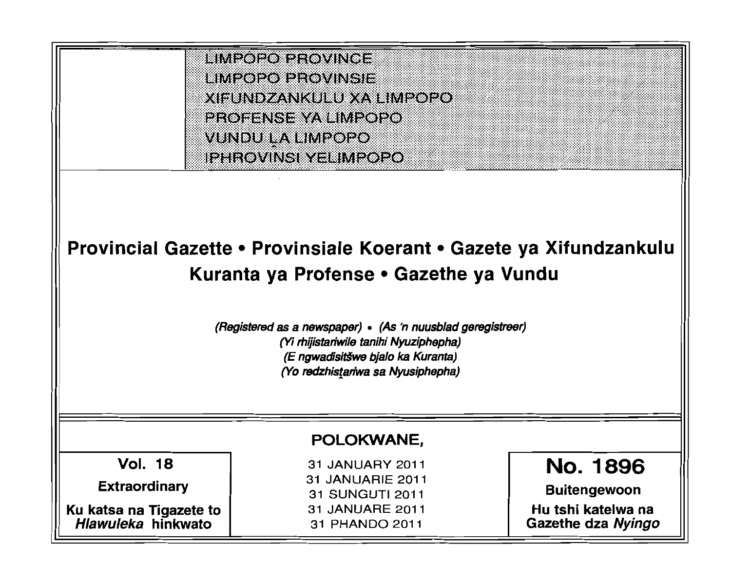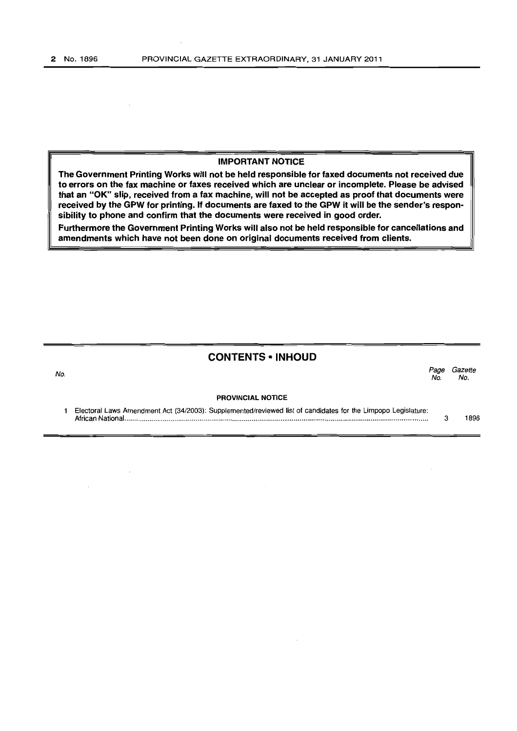### **IMPORTANT NOTICE**

**The Government Printing Works will not be held responsible for faxed documents not received due to errors on the fax machine or faxes received which are unclear or incomplete. Please be advised that an "OK" slip, received from a fax machine, will not be accepted as proof that documents were received by the GPW for printing. If documents are faxed to the GPW it will be the sender's responsibility to phone and confirm that the documents were received in good order.** 

**Furthermore the Government Printing Works will also not be held responsible for cancellations and amendments which have not been done on original documents received from clients.** 

# **CONTENTS • INHOUD**

المستخدم المستخدم المستخدم المستخدم المستخدم المستخدم المستخدم المستخدم المستخدم المستخدم المستخدم المستخدم ال<br>المستخدم المستخدم المستخدم المستخدم المستخدم المستخدم المستخدم المستخدم المستخدم المستخدم المستخدم المستخدم ال No. No.

#### **PROVINCIAL NOTICE**

| Electoral Laws Amendment Act (34/2003): Supplemented/reviewed list of candidates for the Limpopo Legislature: |      |
|---------------------------------------------------------------------------------------------------------------|------|
|                                                                                                               | 1896 |